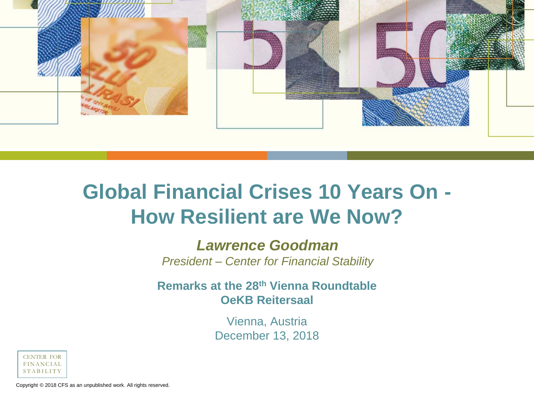

# **Global Financial Crises 10 Years On - How Resilient are We Now?**

#### *Lawrence Goodman*

*President – Center for Financial Stability*

#### **Remarks at the 28th Vienna Roundtable OeKB Reitersaal**

Vienna, Austria December 13, 2018



Copyright © 2018 CFS as an unpublished work. All rights reserved.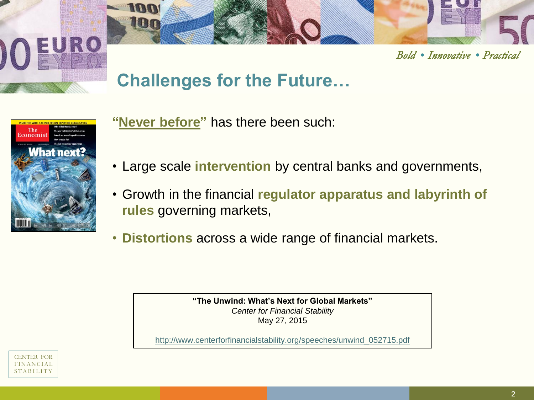**Bold • Innovative • Practical** 

## **Challenges for the Future…**



**"Never before"** has there been such:

- Large scale **intervention** by central banks and governments,
- Growth in the financial **regulator apparatus and labyrinth of rules** governing markets,
- **Distortions** across a wide range of financial markets.

**"The Unwind: What's Next for Global Markets"**  *Center for Financial Stability* May 27, 2015

http://www.centerforfinancialstability.org/speeches/unwind\_052715.pdf

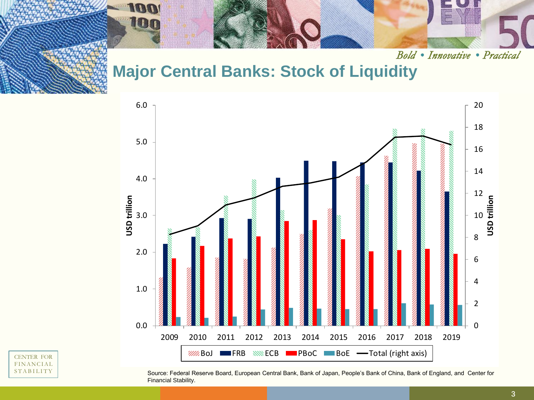

Bold • Innovative • Practical

#### **Major Central Banks: Stock of Liquidity**



CENTER FOR FINANCIAL **STABILITY** 

Source: Federal Reserve Board, European Central Bank, Bank of Japan, People's Bank of China, Bank of England, and Center for Financial Stability.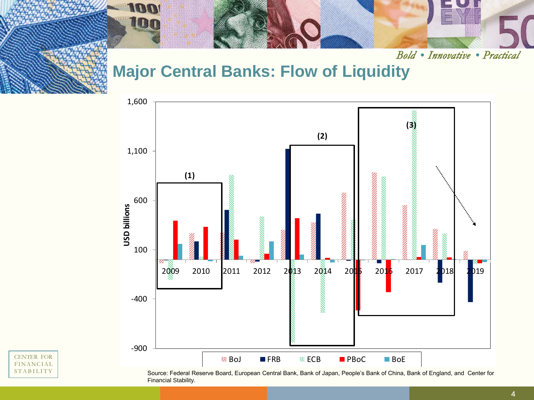

Bold • Innovative • Practical

#### **Major Central Banks: Flow of Liquidity**



CENTER FOR FINANCIAL **STABILITY** 

Source: Federal Reserve Board, European Central Bank, Bank of Japan, People's Bank of China, Bank of England, and Center for Financial Stability.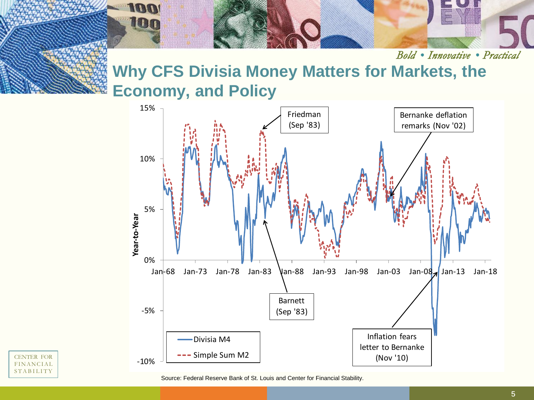

Bold • Innovative • Practical

## **Why CFS Divisia Money Matters for Markets, the Economy, and Policy**





Source: Federal Reserve Bank of St. Louis and Center for Financial Stability.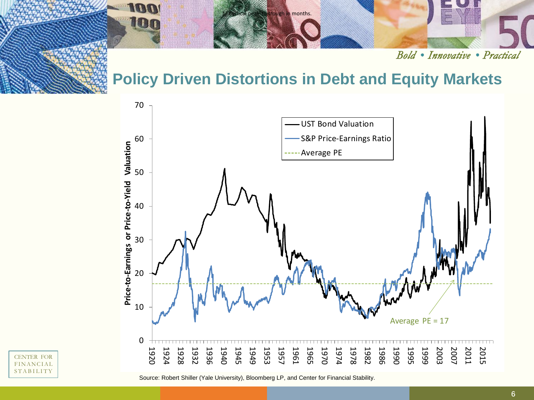

Bold . Innovative . Practical

#### **Policy Driven Distortions in Debt and Equity Markets**



CENTER FOR FINANCIAL **STABILITY** 

Source: Robert Shiller (Yale University), Bloomberg LP, and Center for Financial Stability.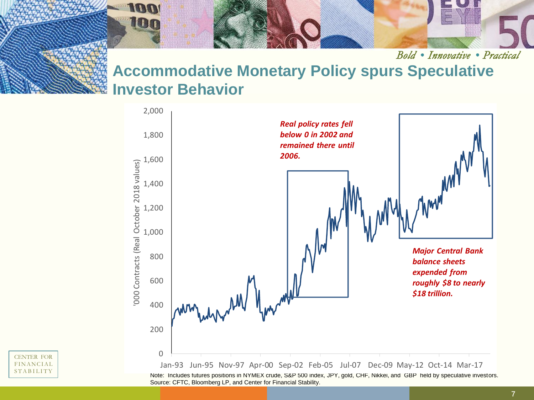

Bold • Innovative • Practical **Accommodative Monetary Policy spurs Speculative Investor Behavior**



Note: Includes futures positions in NYMEX crude, S&P 500 index, JPY, gold, CHF, Nikkei, and GBP held by speculative investors. Source: CFTC, Bloomberg LP, and Center for Financial Stability.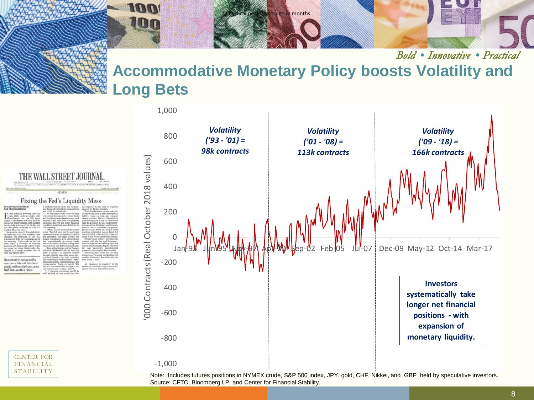

Bold • Innovative • Practical

### **Accommodative Monetary Policy boosts Volatility and Long Bets**



**LET** 

Note: Includes futures positions in NYMEX crude, S&P 500 index, JPY, gold, CHF, Nikkei, and GBP held by speculative investors. Source: CFTC, Bloomberg LP, and Center for Financial Stability.